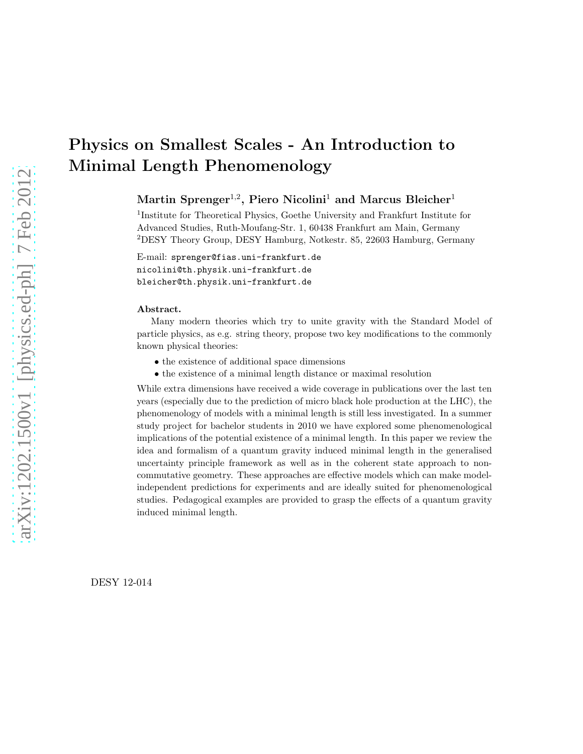# Physics on Smallest Scales - An Introduction to Minimal Length Phenomenology

 $\mathrm{Martin\; Springer^{1,2}, \, Piero\; Nicolini^{1}}$  and  $\mathrm{Marcus\; Bleicher^{1}}$ 

<sup>1</sup>Institute for Theoretical Physics, Goethe University and Frankfurt Institute for Advanced Studies, Ruth-Moufang-Str. 1, 60438 Frankfurt am Main, Germany <sup>2</sup>DESY Theory Group, DESY Hamburg, Notkestr. 85, 22603 Hamburg, Germany

E-mail: sprenger@fias.uni-frankfurt.de nicolini@th.physik.uni-frankfurt.de bleicher@th.physik.uni-frankfurt.de

#### Abstract.

Many modern theories which try to unite gravity with the Standard Model of particle physics, as e.g. string theory, propose two key modifications to the commonly known physical theories:

- the existence of additional space dimensions
- the existence of a minimal length distance or maximal resolution

While extra dimensions have received a wide coverage in publications over the last ten years (especially due to the prediction of micro black hole production at the LHC), the phenomenology of models with a minimal length is still less investigated. In a summer study project for bachelor students in 2010 we have explored some phenomenological implications of the potential existence of a minimal length. In this paper we review the idea and formalism of a quantum gravity induced minimal length in the generalised uncertainty principle framework as well as in the coherent state approach to noncommutative geometry. These approaches are effective models which can make modelindependent predictions for experiments and are ideally suited for phenomenological studies. Pedagogical examples are provided to grasp the effects of a quantum gravity induced minimal length.

DESY 12-014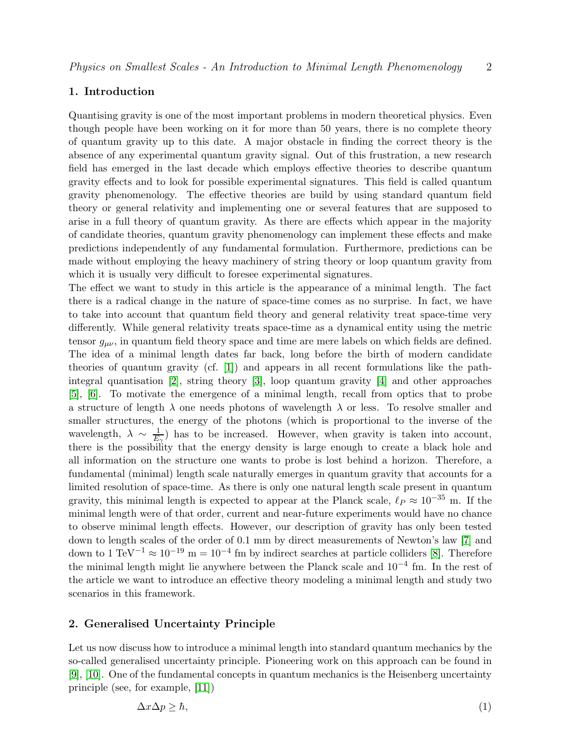## 1. Introduction

Quantising gravity is one of the most important problems in modern theoretical physics. Even though people have been working on it for more than 50 years, there is no complete theory of quantum gravity up to this date. A major obstacle in finding the correct theory is the absence of any experimental quantum gravity signal. Out of this frustration, a new research field has emerged in the last decade which employs effective theories to describe quantum gravity effects and to look for possible experimental signatures. This field is called quantum gravity phenomenology. The effective theories are build by using standard quantum field theory or general relativity and implementing one or several features that are supposed to arise in a full theory of quantum gravity. As there are effects which appear in the majority of candidate theories, quantum gravity phenomenology can implement these effects and make predictions independently of any fundamental formulation. Furthermore, predictions can be made without employing the heavy machinery of string theory or loop quantum gravity from which it is usually very difficult to foresee experimental signatures.

The effect we want to study in this article is the appearance of a minimal length. The fact there is a radical change in the nature of space-time comes as no surprise. In fact, we have to take into account that quantum field theory and general relativity treat space-time very differently. While general relativity treats space-time as a dynamical entity using the metric tensor  $g_{\mu\nu}$ , in quantum field theory space and time are mere labels on which fields are defined. The idea of a minimal length dates far back, long before the birth of modern candidate theories of quantum gravity (cf. [\[1\]](#page-9-0)) and appears in all recent formulations like the pathintegral quantisation [\[2\]](#page-9-1), string theory [\[3\]](#page-9-2), loop quantum gravity [\[4\]](#page-9-3) and other approaches [\[5\]](#page-9-4), [\[6\]](#page-9-5). To motivate the emergence of a minimal length, recall from optics that to probe a structure of length  $\lambda$  one needs photons of wavelength  $\lambda$  or less. To resolve smaller and smaller structures, the energy of the photons (which is proportional to the inverse of the wavelength,  $\lambda \sim \frac{1}{E}$  $\frac{1}{E_{\gamma}}$ ) has to be increased. However, when gravity is taken into account, there is the possibility that the energy density is large enough to create a black hole and all information on the structure one wants to probe is lost behind a horizon. Therefore, a fundamental (minimal) length scale naturally emerges in quantum gravity that accounts for a limited resolution of space-time. As there is only one natural length scale present in quantum gravity, this minimal length is expected to appear at the Planck scale,  $\ell_P \approx 10^{-35}$  m. If the minimal length were of that order, current and near-future experiments would have no chance to observe minimal length effects. However, our description of gravity has only been tested down to length scales of the order of 0.1 mm by direct measurements of Newton's law [\[7\]](#page-9-6) and down to 1 TeV<sup>-1</sup>  $\approx 10^{-19}$  m =  $10^{-4}$  fm by indirect searches at particle colliders [\[8\]](#page-9-7). Therefore the minimal length might lie anywhere between the Planck scale and 10−<sup>4</sup> fm. In the rest of the article we want to introduce an effective theory modeling a minimal length and study two scenarios in this framework.

## 2. Generalised Uncertainty Principle

Let us now discuss how to introduce a minimal length into standard quantum mechanics by the so-called generalised uncertainty principle. Pioneering work on this approach can be found in [\[9\]](#page-9-8), [\[10\]](#page-9-9). One of the fundamental concepts in quantum mechanics is the Heisenberg uncertainty principle (see, for example, [\[11\]](#page-9-10))

<span id="page-1-0"></span>
$$
\Delta x \Delta p \geq \hbar,\tag{1}
$$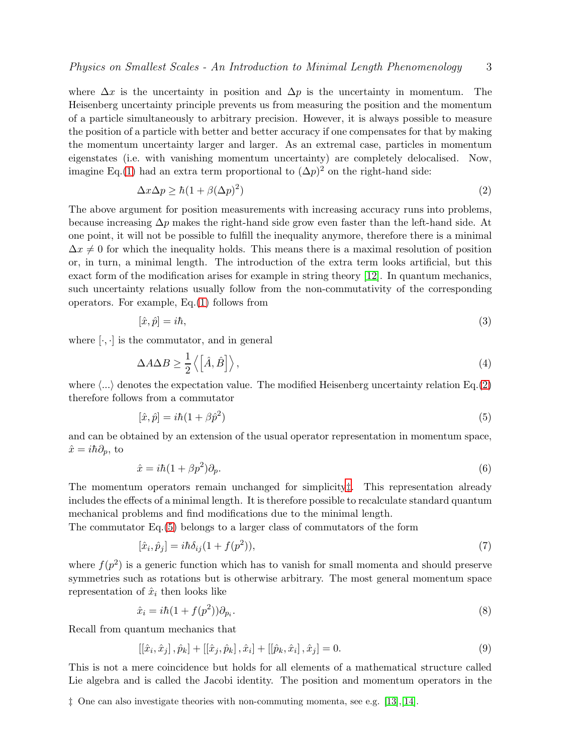where  $\Delta x$  is the uncertainty in position and  $\Delta p$  is the uncertainty in momentum. The Heisenberg uncertainty principle prevents us from measuring the position and the momentum of a particle simultaneously to arbitrary precision. However, it is always possible to measure the position of a particle with better and better accuracy if one compensates for that by making the momentum uncertainty larger and larger. As an extremal case, particles in momentum eigenstates (i.e. with vanishing momentum uncertainty) are completely delocalised. Now, imagine Eq.[\(1\)](#page-1-0) had an extra term proportional to  $(\Delta p)^2$  on the right-hand side:

<span id="page-2-0"></span>
$$
\Delta x \Delta p \ge \hbar (1 + \beta (\Delta p)^2)
$$
 (2)

The above argument for position measurements with increasing accuracy runs into problems, because increasing  $\Delta p$  makes the right-hand side grow even faster than the left-hand side. At one point, it will not be possible to fulfill the inequality anymore, therefore there is a minimal  $\Delta x \neq 0$  for which the inequality holds. This means there is a maximal resolution of position or, in turn, a minimal length. The introduction of the extra term looks artificial, but this exact form of the modification arises for example in string theory [\[12\]](#page-9-11). In quantum mechanics, such uncertainty relations usually follow from the non-commutativity of the corresponding operators. For example, Eq.[\(1\)](#page-1-0) follows from

$$
[\hat{x}, \hat{p}] = i\hbar,\tag{3}
$$

where  $[\cdot, \cdot]$  is the commutator, and in general

$$
\Delta A \Delta B \ge \frac{1}{2} \left\langle \left[ \hat{A}, \hat{B} \right] \right\rangle, \tag{4}
$$

where  $\langle \ldots \rangle$  denotes the expectation value. The modified Heisenberg uncertainty relation Eq.[\(2\)](#page-2-0) therefore follows from a commutator

<span id="page-2-2"></span>
$$
[\hat{x}, \hat{p}] = i\hbar (1 + \beta \hat{p}^2) \tag{5}
$$

and can be obtained by an extension of the usual operator representation in momentum space,  $\hat{x} = i\hbar \partial_p$ , to

$$
\hat{x} = i\hbar (1 + \beta p^2) \partial_p. \tag{6}
$$

The momentum operators remain unchanged for simplicity[‡](#page-2-1). This representation already includes the effects of a minimal length. It is therefore possible to recalculate standard quantum mechanical problems and find modifications due to the minimal length.

The commutator Eq.[\(5\)](#page-2-2) belongs to a larger class of commutators of the form

<span id="page-2-3"></span>
$$
[\hat{x}_i, \hat{p}_j] = i\hbar \delta_{ij} (1 + f(p^2)),\tag{7}
$$

where  $f(p^2)$  is a generic function which has to vanish for small momenta and should preserve symmetries such as rotations but is otherwise arbitrary. The most general momentum space representation of  $\hat{x}_i$  then looks like

$$
\hat{x}_i = i\hbar (1 + f(p^2))\partial_{p_i}.\tag{8}
$$

Recall from quantum mechanics that

<span id="page-2-4"></span>
$$
[[\hat{x}_i, \hat{x}_j], \hat{p}_k] + [[\hat{x}_j, \hat{p}_k], \hat{x}_i] + [[\hat{p}_k, \hat{x}_i], \hat{x}_j] = 0.
$$
\n(9)

This is not a mere coincidence but holds for all elements of a mathematical structure called Lie algebra and is called the Jacobi identity. The position and momentum operators in the

<span id="page-2-1"></span>‡ One can also investigate theories with non-commuting momenta, see e.g. [\[13\]](#page-9-12),[\[14\]](#page-9-13).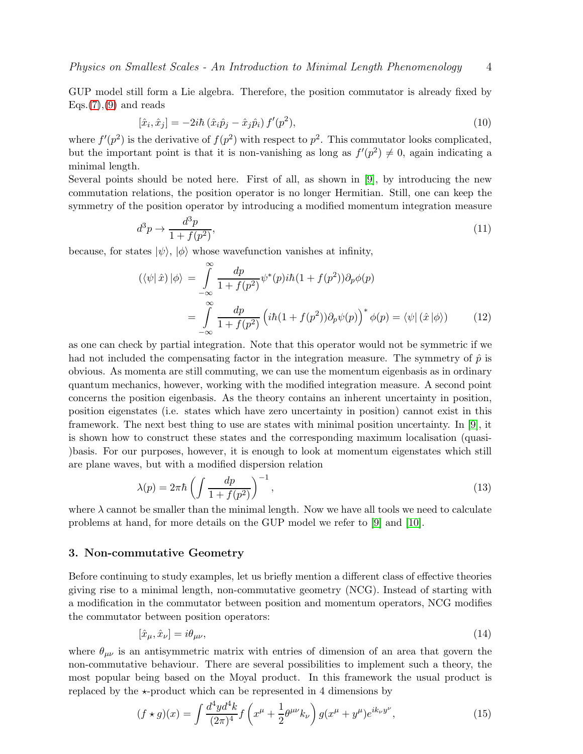GUP model still form a Lie algebra. Therefore, the position commutator is already fixed by  $Eqs.(7),(9)$  $Eqs.(7),(9)$  $Eqs.(7),(9)$  $Eqs.(7),(9)$  and reads

$$
[\hat{x}_i, \hat{x}_j] = -2i\hbar (\hat{x}_i \hat{p}_j - \hat{x}_j \hat{p}_i) f'(p^2),
$$
\n(10)

where  $f'(p^2)$  is the derivative of  $f(p^2)$  with respect to  $p^2$ . This commutator looks complicated, but the important point is that it is non-vanishing as long as  $f'(p^2) \neq 0$ , again indicating a minimal length.

Several points should be noted here. First of all, as shown in [\[9\]](#page-9-8), by introducing the new commutation relations, the position operator is no longer Hermitian. Still, one can keep the symmetry of the position operator by introducing a modified momentum integration measure

<span id="page-3-0"></span>
$$
d^3p \to \frac{d^3p}{1+f(p^2)},\tag{11}
$$

because, for states  $|\psi\rangle$ ,  $|\phi\rangle$  whose wavefunction vanishes at infinity,

$$
\langle \langle \psi | \hat{x} \rangle | \phi \rangle = \int_{-\infty}^{\infty} \frac{dp}{1 + f(p^2)} \psi^*(p) i\hbar (1 + f(p^2)) \partial_p \phi(p)
$$

$$
= \int_{-\infty}^{\infty} \frac{dp}{1 + f(p^2)} \left( i\hbar (1 + f(p^2)) \partial_p \psi(p) \right)^* \phi(p) = \langle \psi | (\hat{x} | \phi \rangle) \tag{12}
$$

as one can check by partial integration. Note that this operator would not be symmetric if we had not included the compensating factor in the integration measure. The symmetry of  $\hat{p}$  is obvious. As momenta are still commuting, we can use the momentum eigenbasis as in ordinary quantum mechanics, however, working with the modified integration measure. A second point concerns the position eigenbasis. As the theory contains an inherent uncertainty in position, position eigenstates (i.e. states which have zero uncertainty in position) cannot exist in this framework. The next best thing to use are states with minimal position uncertainty. In [\[9\]](#page-9-8), it is shown how to construct these states and the corresponding maximum localisation (quasi- )basis. For our purposes, however, it is enough to look at momentum eigenstates which still are plane waves, but with a modified dispersion relation

$$
\lambda(p) = 2\pi\hbar \left( \int \frac{dp}{1 + f(p^2)} \right)^{-1},\tag{13}
$$

where  $\lambda$  cannot be smaller than the minimal length. Now we have all tools we need to calculate problems at hand, for more details on the GUP model we refer to [\[9\]](#page-9-8) and [\[10\]](#page-9-9).

### 3. Non-commutative Geometry

Before continuing to study examples, let us briefly mention a different class of effective theories giving rise to a minimal length, non-commutative geometry (NCG). Instead of starting with a modification in the commutator between position and momentum operators, NCG modifies the commutator between position operators:

$$
[\hat{x}_{\mu}, \hat{x}_{\nu}] = i\theta_{\mu\nu},\tag{14}
$$

where  $\theta_{\mu\nu}$  is an antisymmetric matrix with entries of dimension of an area that govern the non-commutative behaviour. There are several possibilities to implement such a theory, the most popular being based on the Moyal product. In this framework the usual product is replaced by the  $\star$ -product which can be represented in 4 dimensions by

$$
(f \star g)(x) = \int \frac{d^4 y d^4 k}{(2\pi)^4} f\left(x^\mu + \frac{1}{2} \theta^{\mu\nu} k_\nu\right) g(x^\mu + y^\mu) e^{ik_\nu y^\nu},\tag{15}
$$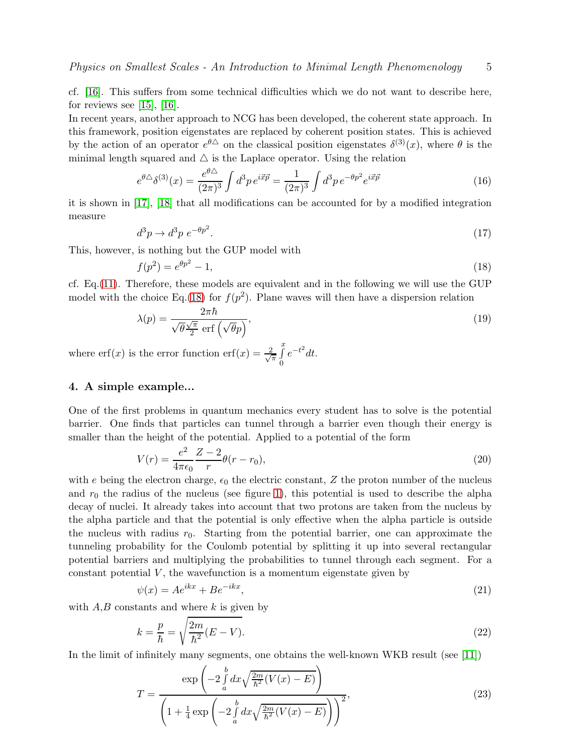cf. [\[16\]](#page-9-14). This suffers from some technical difficulties which we do not want to describe here, for reviews see  $[15]$ ,  $[16]$ .

In recent years, another approach to NCG has been developed, the coherent state approach. In this framework, position eigenstates are replaced by coherent position states. This is achieved by the action of an operator  $e^{\theta \Delta}$  on the classical position eigenstates  $\delta^{(3)}(x)$ , where  $\theta$  is the minimal length squared and  $\triangle$  is the Laplace operator. Using the relation

$$
e^{\theta \triangle} \delta^{(3)}(x) = \frac{e^{\theta \triangle}}{(2\pi)^3} \int d^3p \, e^{i\vec{x}\vec{p}} = \frac{1}{(2\pi)^3} \int d^3p \, e^{-\theta p^2} e^{i\vec{x}\vec{p}} \tag{16}
$$

it is shown in [\[17\]](#page-9-16), [\[18\]](#page-9-17) that all modifications can be accounted for by a modified integration measure

$$
d^3p \to d^3p \ e^{-\theta p^2}.\tag{17}
$$

This, however, is nothing but the GUP model with

<span id="page-4-0"></span>
$$
f(p^2) = e^{\theta p^2} - 1,\tag{18}
$$

cf. Eq.[\(11\)](#page-3-0). Therefore, these models are equivalent and in the following we will use the GUP model with the choice Eq.[\(18\)](#page-4-0) for  $f(p^2)$ . Plane waves will then have a dispersion relation

<span id="page-4-1"></span>
$$
\lambda(p) = \frac{2\pi\hbar}{\sqrt{\theta}\frac{\sqrt{\pi}}{2}\operatorname{erf}\left(\sqrt{\theta}p\right)},\tag{19}
$$

where  $\text{erf}(x)$  is the error function  $\text{erf}(x) = \frac{2}{\sqrt{2}}$  $\frac{x}{\pi}$ 0  $e^{-t^2}dt$ .

## 4. A simple example...

One of the first problems in quantum mechanics every student has to solve is the potential barrier. One finds that particles can tunnel through a barrier even though their energy is smaller than the height of the potential. Applied to a potential of the form

$$
V(r) = \frac{e^2}{4\pi\epsilon_0} \frac{Z - 2}{r} \theta(r - r_0),
$$
\n(20)

with e being the electron charge,  $\epsilon_0$  the electric constant, Z the proton number of the nucleus and  $r_0$  the radius of the nucleus (see figure [1\)](#page-5-0), this potential is used to describe the alpha decay of nuclei. It already takes into account that two protons are taken from the nucleus by the alpha particle and that the potential is only effective when the alpha particle is outside the nucleus with radius  $r_0$ . Starting from the potential barrier, one can approximate the tunneling probability for the Coulomb potential by splitting it up into several rectangular potential barriers and multiplying the probabilities to tunnel through each segment. For a constant potential  $V$ , the wavefunction is a momentum eigenstate given by

$$
\psi(x) = Ae^{ikx} + Be^{-ikx},\tag{21}
$$

with  $A,B$  constants and where k is given by

$$
k = \frac{p}{\hbar} = \sqrt{\frac{2m}{\hbar^2}(E - V)}.
$$
\n
$$
(22)
$$

In the limit of infinitely many segments, one obtains the well-known WKB result (see [\[11\]](#page-9-10))

<span id="page-4-2"></span>
$$
T = \frac{\exp\left(-2\int_{a}^{b} dx \sqrt{\frac{2m}{\hbar^2}(V(x) - E)}\right)}{\left(1 + \frac{1}{4}\exp\left(-2\int_{a}^{b} dx \sqrt{\frac{2m}{\hbar^2}(V(x) - E)}\right)\right)^2},\tag{23}
$$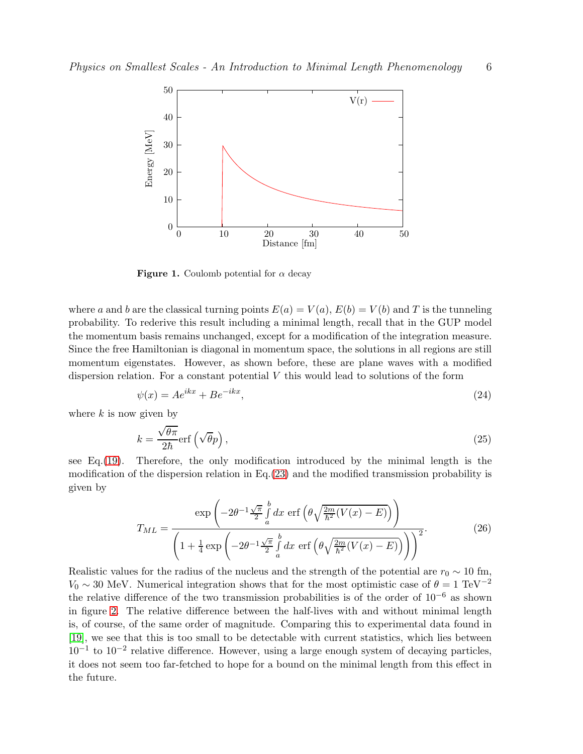

<span id="page-5-0"></span>**Figure 1.** Coulomb potential for  $\alpha$  decay

where a and b are the classical turning points  $E(a) = V(a)$ ,  $E(b) = V(b)$  and T is the tunneling probability. To rederive this result including a minimal length, recall that in the GUP model the momentum basis remains unchanged, except for a modification of the integration measure. Since the free Hamiltonian is diagonal in momentum space, the solutions in all regions are still momentum eigenstates. However, as shown before, these are plane waves with a modified dispersion relation. For a constant potential  $V$  this would lead to solutions of the form

$$
\psi(x) = Ae^{ikx} + Be^{-ikx},\tag{24}
$$

where  $k$  is now given by

$$
k = \frac{\sqrt{\theta \pi}}{2\hbar} \text{erf}\left(\sqrt{\theta}p\right),\tag{25}
$$

see Eq.[\(19\)](#page-4-1). Therefore, the only modification introduced by the minimal length is the modification of the dispersion relation in Eq.  $(23)$  and the modified transmission probability is given by

$$
T_{ML} = \frac{\exp\left(-2\theta^{-1}\frac{\sqrt{\pi}}{2}\int_a^b dx \, \operatorname{erf}\left(\theta\sqrt{\frac{2m}{\hbar^2}(V(x) - E)}\right)\right)}{\left(1 + \frac{1}{4}\exp\left(-2\theta^{-1}\frac{\sqrt{\pi}}{2}\int_a^b dx \, \operatorname{erf}\left(\theta\sqrt{\frac{2m}{\hbar^2}(V(x) - E)}\right)\right)\right)^2}.
$$
(26)

Realistic values for the radius of the nucleus and the strength of the potential are  $r_0 \sim 10$  fm,  $V_0 \sim 30$  MeV. Numerical integration shows that for the most optimistic case of  $\theta = 1 \text{ TeV}^{-2}$ the relative difference of the two transmission probabilities is of the order of  $10^{-6}$  as shown in figure [2.](#page-6-0) The relative difference between the half-lives with and without minimal length is, of course, of the same order of magnitude. Comparing this to experimental data found in [\[19\]](#page-9-18), we see that this is too small to be detectable with current statistics, which lies between  $10^{-1}$  to  $10^{-2}$  relative difference. However, using a large enough system of decaying particles, it does not seem too far-fetched to hope for a bound on the minimal length from this effect in the future.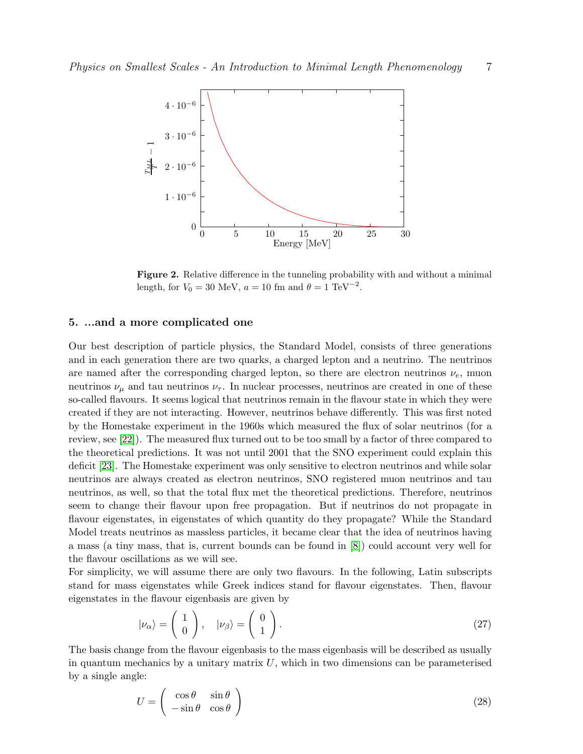

<span id="page-6-0"></span>Figure 2. Relative difference in the tunneling probability with and without a minimal length, for  $V_0 = 30$  MeV,  $a = 10$  fm and  $\theta = 1$  TeV<sup>-2</sup>.

## 5. ...and a more complicated one

Our best description of particle physics, the Standard Model, consists of three generations and in each generation there are two quarks, a charged lepton and a neutrino. The neutrinos are named after the corresponding charged lepton, so there are electron neutrinos  $\nu_e$ , muon neutrinos  $\nu_{\mu}$  and tau neutrinos  $\nu_{\tau}$ . In nuclear processes, neutrinos are created in one of these so-called flavours. It seems logical that neutrinos remain in the flavour state in which they were created if they are not interacting. However, neutrinos behave differently. This was first noted by the Homestake experiment in the 1960s which measured the flux of solar neutrinos (for a review, see [\[22\]](#page-9-19)). The measured flux turned out to be too small by a factor of three compared to the theoretical predictions. It was not until 2001 that the SNO experiment could explain this deficit [\[23\]](#page-9-20). The Homestake experiment was only sensitive to electron neutrinos and while solar neutrinos are always created as electron neutrinos, SNO registered muon neutrinos and tau neutrinos, as well, so that the total flux met the theoretical predictions. Therefore, neutrinos seem to change their flavour upon free propagation. But if neutrinos do not propagate in flavour eigenstates, in eigenstates of which quantity do they propagate? While the Standard Model treats neutrinos as massless particles, it became clear that the idea of neutrinos having a mass (a tiny mass, that is, current bounds can be found in [\[8\]](#page-9-7)) could account very well for the flavour oscillations as we will see.

For simplicity, we will assume there are only two flavours. In the following, Latin subscripts stand for mass eigenstates while Greek indices stand for flavour eigenstates. Then, flavour eigenstates in the flavour eigenbasis are given by

<span id="page-6-1"></span>
$$
|\nu_{\alpha}\rangle = \begin{pmatrix} 1 \\ 0 \end{pmatrix}, \quad |\nu_{\beta}\rangle = \begin{pmatrix} 0 \\ 1 \end{pmatrix}.
$$
 (27)

The basis change from the flavour eigenbasis to the mass eigenbasis will be described as usually in quantum mechanics by a unitary matrix  $U$ , which in two dimensions can be parameterised by a single angle:

<span id="page-6-2"></span>
$$
U = \begin{pmatrix} \cos \theta & \sin \theta \\ -\sin \theta & \cos \theta \end{pmatrix}
$$
 (28)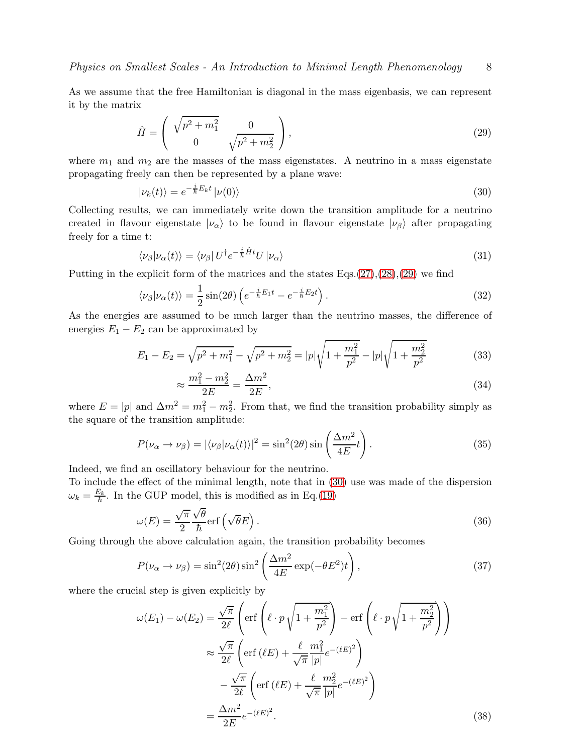As we assume that the free Hamiltonian is diagonal in the mass eigenbasis, we can represent it by the matrix

<span id="page-7-0"></span>
$$
\hat{H} = \begin{pmatrix} \sqrt{p^2 + m_1^2} & 0\\ 0 & \sqrt{p^2 + m_2^2} \end{pmatrix},
$$
\n(29)

where  $m_1$  and  $m_2$  are the masses of the mass eigenstates. A neutrino in a mass eigenstate propagating freely can then be represented by a plane wave:

<span id="page-7-1"></span>
$$
|\nu_k(t)\rangle = e^{-\frac{i}{\hbar}E_k t} |\nu(0)\rangle \tag{30}
$$

Collecting results, we can immediately write down the transition amplitude for a neutrino created in flavour eigenstate  $|\nu_{\alpha}\rangle$  to be found in flavour eigenstate  $|\nu_{\beta}\rangle$  after propagating freely for a time t:

$$
\langle \nu_{\beta} | \nu_{\alpha}(t) \rangle = \langle \nu_{\beta} | U^{\dagger} e^{-\frac{i}{\hbar} \hat{H} t} U | \nu_{\alpha} \rangle \tag{31}
$$

Putting in the explicit form of the matrices and the states  $Eqs. (27),(28),(29)$  $Eqs. (27),(28),(29)$  $Eqs. (27),(28),(29)$  $Eqs. (27),(28),(29)$  $Eqs. (27),(28),(29)$  $Eqs. (27),(28),(29)$  we find

$$
\langle \nu_{\beta} | \nu_{\alpha}(t) \rangle = \frac{1}{2} \sin(2\theta) \left( e^{-\frac{i}{\hbar} E_1 t} - e^{-\frac{i}{\hbar} E_2 t} \right). \tag{32}
$$

As the energies are assumed to be much larger than the neutrino masses, the difference of energies  $E_1 - E_2$  can be approximated by

$$
E_1 - E_2 = \sqrt{p^2 + m_1^2} - \sqrt{p^2 + m_2^2} = |p|\sqrt{1 + \frac{m_1^2}{p^2}} - |p|\sqrt{1 + \frac{m_2^2}{p^2}}
$$
(33)

$$
\approx \frac{m_1^2 - m_2^2}{2E} = \frac{\Delta m^2}{2E},\tag{34}
$$

where  $E = |p|$  and  $\Delta m^2 = m_1^2 - m_2^2$ . From that, we find the transition probability simply as the square of the transition amplitude:

$$
P(\nu_{\alpha} \to \nu_{\beta}) = |\langle \nu_{\beta} | \nu_{\alpha}(t) \rangle|^2 = \sin^2(2\theta) \sin\left(\frac{\Delta m^2}{4E}t\right). \tag{35}
$$

Indeed, we find an oscillatory behaviour for the neutrino.

To include the effect of the minimal length, note that in [\(30\)](#page-7-1) use was made of the dispersion  $\omega_k = \frac{E_k}{\hbar}$ . In the GUP model, this is modified as in Eq.[\(19\)](#page-4-1)

$$
\omega(E) = \frac{\sqrt{\pi}}{2} \frac{\sqrt{\theta}}{\hbar} erf\left(\sqrt{\theta}E\right). \tag{36}
$$

Going through the above calculation again, the transition probability becomes

<span id="page-7-2"></span>
$$
P(\nu_{\alpha} \to \nu_{\beta}) = \sin^2(2\theta) \sin^2\left(\frac{\Delta m^2}{4E} \exp(-\theta E^2)t\right),\tag{37}
$$

where the crucial step is given explicitly by

$$
\omega(E_1) - \omega(E_2) = \frac{\sqrt{\pi}}{2\ell} \left( \text{erf}\left(\ell \cdot p \sqrt{1 + \frac{m_1^2}{p^2}}\right) - \text{erf}\left(\ell \cdot p \sqrt{1 + \frac{m_2^2}{p^2}}\right) \right)
$$
  

$$
\approx \frac{\sqrt{\pi}}{2\ell} \left( \text{erf}(\ell E) + \frac{\ell}{\sqrt{\pi}} \frac{m_1^2}{|p|} e^{-(\ell E)^2} \right)
$$
  

$$
- \frac{\sqrt{\pi}}{2\ell} \left( \text{erf}(\ell E) + \frac{\ell}{\sqrt{\pi}} \frac{m_2^2}{|p|} e^{-(\ell E)^2} \right)
$$
  

$$
= \frac{\Delta m^2}{2E} e^{-(\ell E)^2}.
$$
 (38)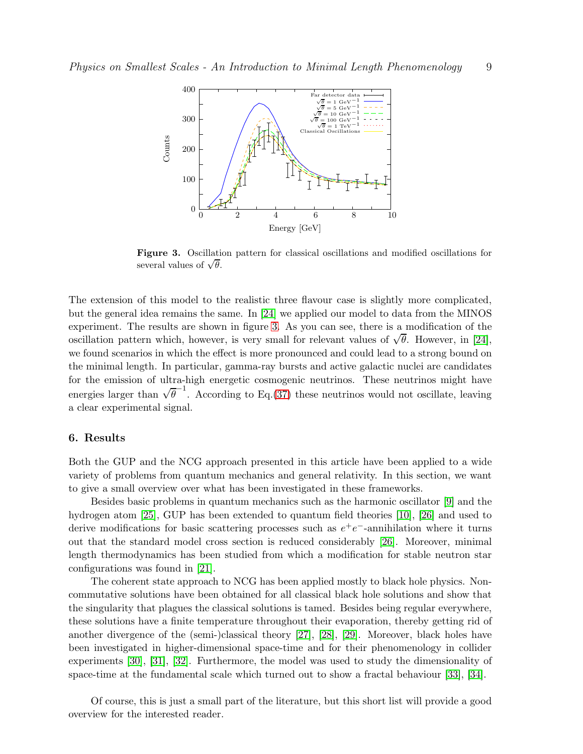

<span id="page-8-0"></span>Figure 3. Oscillation pattern for classical oscillations and modified oscillations for several values of  $\sqrt{\theta}$ .

The extension of this model to the realistic three flavour case is slightly more complicated, but the general idea remains the same. In [\[24\]](#page-9-21) we applied our model to data from the MINOS experiment. The results are shown in figure [3.](#page-8-0) As you can see, there is a modification of the oscillation pattern which, however, is very small for relevant values of  $\sqrt{\theta}$ . However, in [\[24\]](#page-9-21), we found scenarios in which the effect is more pronounced and could lead to a strong bound on the minimal length. In particular, gamma-ray bursts and active galactic nuclei are candidates for the emission of ultra-high energetic cosmogenic neutrinos. These neutrinos might have energies larger than  $\sqrt{\theta}^{-1}$ . According to Eq.[\(37\)](#page-7-2) these neutrinos would not oscillate, leaving a clear experimental signal.

## 6. Results

Both the GUP and the NCG approach presented in this article have been applied to a wide variety of problems from quantum mechanics and general relativity. In this section, we want to give a small overview over what has been investigated in these frameworks.

Besides basic problems in quantum mechanics such as the harmonic oscillator [\[9\]](#page-9-8) and the hydrogen atom [\[25\]](#page-9-22), GUP has been extended to quantum field theories [\[10\]](#page-9-9), [\[26\]](#page-9-23) and used to derive modifications for basic scattering processes such as  $e^+e^-$ -annihilation where it turns out that the standard model cross section is reduced considerably [\[26\]](#page-9-23). Moreover, minimal length thermodynamics has been studied from which a modification for stable neutron star configurations was found in [\[21\]](#page-9-24).

The coherent state approach to NCG has been applied mostly to black hole physics. Noncommutative solutions have been obtained for all classical black hole solutions and show that the singularity that plagues the classical solutions is tamed. Besides being regular everywhere, these solutions have a finite temperature throughout their evaporation, thereby getting rid of another divergence of the (semi-)classical theory [\[27\]](#page-9-25), [\[28\]](#page-9-26), [\[29\]](#page-9-27). Moreover, black holes have been investigated in higher-dimensional space-time and for their phenomenology in collider experiments [\[30\]](#page-9-28), [\[31\]](#page-9-29), [\[32\]](#page-9-30). Furthermore, the model was used to study the dimensionality of space-time at the fundamental scale which turned out to show a fractal behaviour [\[33\]](#page-9-31), [\[34\]](#page-9-32).

Of course, this is just a small part of the literature, but this short list will provide a good overview for the interested reader.